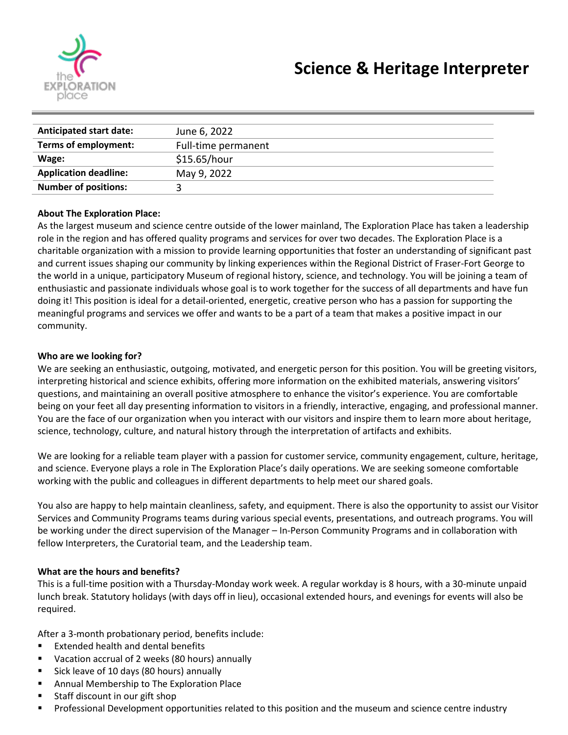

| <b>Anticipated start date:</b> | June 6, 2022        |
|--------------------------------|---------------------|
| Terms of employment:           | Full-time permanent |
| Wage:                          | \$15.65/hour        |
| <b>Application deadline:</b>   | May 9, 2022         |
| <b>Number of positions:</b>    |                     |
|                                |                     |

### **About The Exploration Place:**

As the largest museum and science centre outside of the lower mainland, The Exploration Place has taken a leadership role in the region and has offered quality programs and services for over two decades. The Exploration Place is a charitable organization with a mission to provide learning opportunities that foster an understanding of significant past and current issues shaping our community by linking experiences within the Regional District of Fraser-Fort George to the world in a unique, participatory Museum of regional history, science, and technology. You will be joining a team of enthusiastic and passionate individuals whose goal is to work together for the success of all departments and have fun doing it! This position is ideal for a detail-oriented, energetic, creative person who has a passion for supporting the meaningful programs and services we offer and wants to be a part of a team that makes a positive impact in our community.

### **Who are we looking for?**

We are seeking an enthusiastic, outgoing, motivated, and energetic person for this position. You will be greeting visitors, interpreting historical and science exhibits, offering more information on the exhibited materials, answering visitors' questions, and maintaining an overall positive atmosphere to enhance the visitor's experience. You are comfortable being on your feet all day presenting information to visitors in a friendly, interactive, engaging, and professional manner. You are the face of our organization when you interact with our visitors and inspire them to learn more about heritage, science, technology, culture, and natural history through the interpretation of artifacts and exhibits.

We are looking for a reliable team player with a passion for customer service, community engagement, culture, heritage, and science. Everyone plays a role in The Exploration Place's daily operations. We are seeking someone comfortable working with the public and colleagues in different departments to help meet our shared goals.

You also are happy to help maintain cleanliness, safety, and equipment. There is also the opportunity to assist our Visitor Services and Community Programs teams during various special events, presentations, and outreach programs. You will be working under the direct supervision of the Manager – In-Person Community Programs and in collaboration with fellow Interpreters, the Curatorial team, and the Leadership team.

### **What are the hours and benefits?**

This is a full-time position with a Thursday-Monday work week. A regular workday is 8 hours, with a 30-minute unpaid lunch break. Statutory holidays (with days off in lieu), occasional extended hours, and evenings for events will also be required.

After a 3-month probationary period, benefits include:

- Extended health and dental benefits
- Vacation accrual of 2 weeks (80 hours) annually
- Sick leave of 10 days (80 hours) annually
- Annual Membership to The Exploration Place
- Staff discount in our gift shop
- Professional Development opportunities related to this position and the museum and science centre industry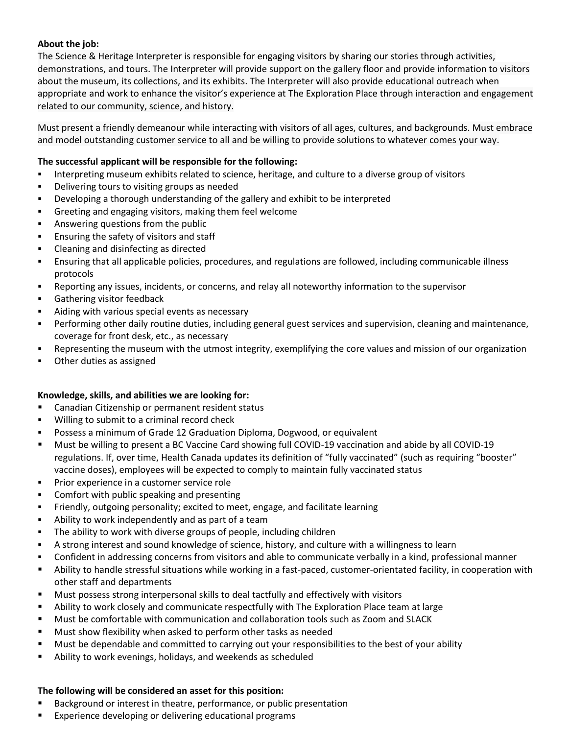# **About the job:**

The Science & Heritage Interpreter is responsible for engaging visitors by sharing our stories through activities, demonstrations, and tours. The Interpreter will provide support on the gallery floor and provide information to visitors about the museum, its collections, and its exhibits. The Interpreter will also provide educational outreach when appropriate and work to enhance the visitor's experience at The Exploration Place through interaction and engagement related to our community, science, and history.

Must present a friendly demeanour while interacting with visitors of all ages, cultures, and backgrounds. Must embrace and model outstanding customer service to all and be willing to provide solutions to whatever comes your way.

## **The successful applicant will be responsible for the following:**

- **•** Interpreting museum exhibits related to science, heritage, and culture to a diverse group of visitors
- Delivering tours to visiting groups as needed
- Developing a thorough understanding of the gallery and exhibit to be interpreted
- Greeting and engaging visitors, making them feel welcome
- **EXED** Answering questions from the public
- **Ensuring the safety of visitors and staff**
- Cleaning and disinfecting as directed
- Ensuring that all applicable policies, procedures, and regulations are followed, including communicable illness protocols
- Reporting any issues, incidents, or concerns, and relay all noteworthy information to the supervisor
- Gathering visitor feedback
- Aiding with various special events as necessary
- Performing other daily routine duties, including general guest services and supervision, cleaning and maintenance, coverage for front desk, etc., as necessary
- Representing the museum with the utmost integrity, exemplifying the core values and mission of our organization
- Other duties as assigned

### **Knowledge, skills, and abilities we are looking for:**

- Canadian Citizenship or permanent resident status
- Willing to submit to a criminal record check
- Possess a minimum of Grade 12 Graduation Diploma, Dogwood, or equivalent
- Must be willing to present a BC Vaccine Card showing full COVID-19 vaccination and abide by all COVID-19 regulations. If, over time, Health Canada updates its definition of "fully vaccinated" (such as requiring "booster" vaccine doses), employees will be expected to comply to maintain fully vaccinated status
- **•** Prior experience in a customer service role
- Comfort with public speaking and presenting
- Friendly, outgoing personality; excited to meet, engage, and facilitate learning
- Ability to work independently and as part of a team
- **•** The ability to work with diverse groups of people, including children
- A strong interest and sound knowledge of science, history, and culture with a willingness to learn
- Confident in addressing concerns from visitors and able to communicate verbally in a kind, professional manner
- **EXECT Ability to handle stressful situations while working in a fast-paced, customer-orientated facility, in cooperation with** other staff and departments
- Must possess strong interpersonal skills to deal tactfully and effectively with visitors
- **EXECT Ability to work closely and communicate respectfully with The Exploration Place team at large**
- Must be comfortable with communication and collaboration tools such as Zoom and SLACK
- Must show flexibility when asked to perform other tasks as needed
- Must be dependable and committed to carrying out your responsibilities to the best of your ability
- Ability to work evenings, holidays, and weekends as scheduled

### **The following will be considered an asset for this position:**

- Background or interest in theatre, performance, or public presentation
- Experience developing or delivering educational programs